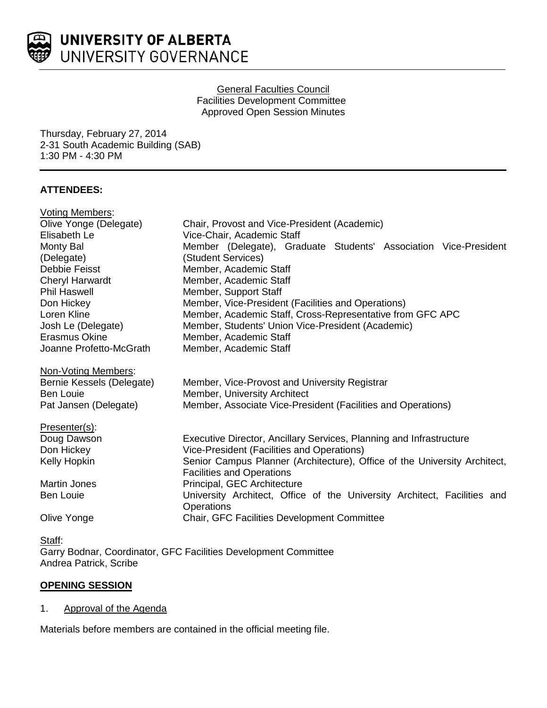

## General Faculties Council Facilities Development Committee Approved Open Session Minutes

Thursday, February 27, 2014 2-31 South Academic Building (SAB) 1:30 PM - 4:30 PM

# **ATTENDEES:**

| <b>Voting Members:</b>                 |                                                                                        |
|----------------------------------------|----------------------------------------------------------------------------------------|
| Olive Yonge (Delegate)                 | Chair, Provost and Vice-President (Academic)                                           |
| Elisabeth Le                           | Vice-Chair, Academic Staff                                                             |
| Monty Bal                              | Member (Delegate), Graduate Students' Association Vice-President                       |
| (Delegate)                             | (Student Services)                                                                     |
| Debbie Feisst                          | Member, Academic Staff                                                                 |
| <b>Cheryl Harwardt</b>                 | Member, Academic Staff                                                                 |
| <b>Phil Haswell</b>                    | Member, Support Staff                                                                  |
| Don Hickey                             | Member, Vice-President (Facilities and Operations)                                     |
| Loren Kline                            | Member, Academic Staff, Cross-Representative from GFC APC                              |
| Josh Le (Delegate)                     | Member, Students' Union Vice-President (Academic)                                      |
| Erasmus Okine                          | Member, Academic Staff                                                                 |
| Joanne Profetto-McGrath                | Member, Academic Staff                                                                 |
|                                        |                                                                                        |
| Non-Voting Members:                    |                                                                                        |
| Bernie Kessels (Delegate)<br>Ben Louie | Member, Vice-Provost and University Registrar<br>Member, University Architect          |
| Pat Jansen (Delegate)                  | Member, Associate Vice-President (Facilities and Operations)                           |
|                                        |                                                                                        |
| Presenter(s):                          |                                                                                        |
| Doug Dawson                            | Executive Director, Ancillary Services, Planning and Infrastructure                    |
| Don Hickey                             | Vice-President (Facilities and Operations)                                             |
| Kelly Hopkin                           | Senior Campus Planner (Architecture), Office of the University Architect,              |
|                                        | <b>Facilities and Operations</b>                                                       |
| <b>Martin Jones</b>                    | Principal, GEC Architecture                                                            |
| <b>Ben Louie</b>                       | University Architect, Office of the University Architect, Facilities and<br>Operations |
| Olive Yonge                            | Chair, GFC Facilities Development Committee                                            |

<u>Staff</u>: Garry Bodnar, Coordinator, GFC Facilities Development Committee Andrea Patrick, Scribe

# **OPENING SESSION**

# 1. Approval of the Agenda

Materials before members are contained in the official meeting file.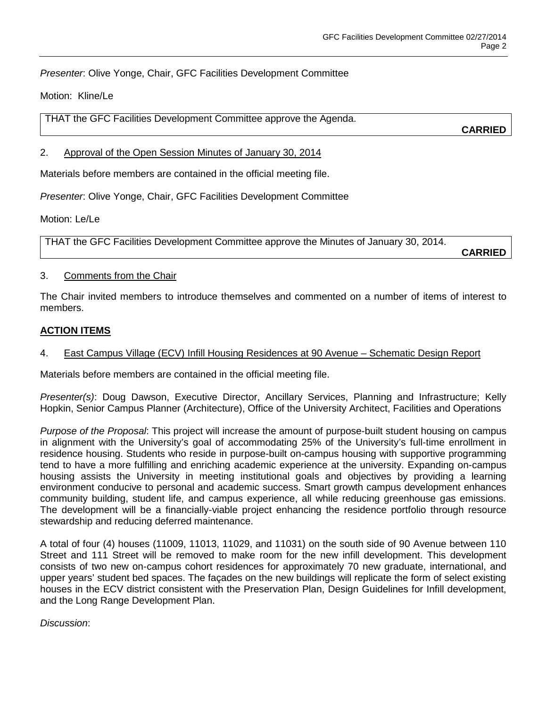*Presenter*: Olive Yonge, Chair, GFC Facilities Development Committee

Motion: Kline/Le

THAT the GFC Facilities Development Committee approve the Agenda.

**CARRIED**

## 2. Approval of the Open Session Minutes of January 30, 2014

Materials before members are contained in the official meeting file.

*Presenter*: Olive Yonge, Chair, GFC Facilities Development Committee

Motion: Le/Le

THAT the GFC Facilities Development Committee approve the Minutes of January 30, 2014.

**CARRIED**

## 3. Comments from the Chair

The Chair invited members to introduce themselves and commented on a number of items of interest to members.

## **ACTION ITEMS**

## 4. East Campus Village (ECV) Infill Housing Residences at 90 Avenue – Schematic Design Report

Materials before members are contained in the official meeting file.

*Presenter(s)*: Doug Dawson, Executive Director, Ancillary Services, Planning and Infrastructure; Kelly Hopkin, Senior Campus Planner (Architecture), Office of the University Architect, Facilities and Operations

*Purpose of the Proposal*: This project will increase the amount of purpose-built student housing on campus in alignment with the University's goal of accommodating 25% of the University's full-time enrollment in residence housing. Students who reside in purpose-built on-campus housing with supportive programming tend to have a more fulfilling and enriching academic experience at the university. Expanding on-campus housing assists the University in meeting institutional goals and objectives by providing a learning environment conducive to personal and academic success. Smart growth campus development enhances community building, student life, and campus experience, all while reducing greenhouse gas emissions. The development will be a financially-viable project enhancing the residence portfolio through resource stewardship and reducing deferred maintenance.

A total of four (4) houses (11009, 11013, 11029, and 11031) on the south side of 90 Avenue between 110 Street and 111 Street will be removed to make room for the new infill development. This development consists of two new on-campus cohort residences for approximately 70 new graduate, international, and upper years' student bed spaces. The façades on the new buildings will replicate the form of select existing houses in the ECV district consistent with the Preservation Plan, Design Guidelines for Infill development, and the Long Range Development Plan.

#### *Discussion*: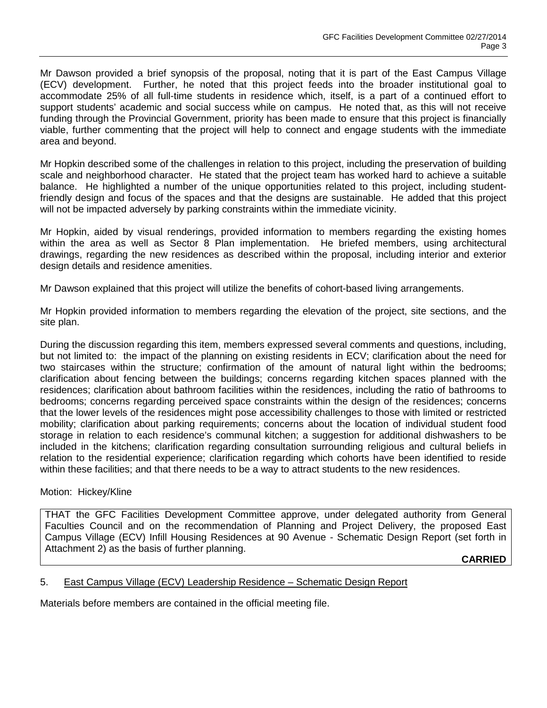Mr Dawson provided a brief synopsis of the proposal, noting that it is part of the East Campus Village (ECV) development. Further, he noted that this project feeds into the broader institutional goal to accommodate 25% of all full-time students in residence which, itself, is a part of a continued effort to support students' academic and social success while on campus. He noted that, as this will not receive funding through the Provincial Government, priority has been made to ensure that this project is financially viable, further commenting that the project will help to connect and engage students with the immediate area and beyond.

Mr Hopkin described some of the challenges in relation to this project, including the preservation of building scale and neighborhood character. He stated that the project team has worked hard to achieve a suitable balance. He highlighted a number of the unique opportunities related to this project, including studentfriendly design and focus of the spaces and that the designs are sustainable. He added that this project will not be impacted adversely by parking constraints within the immediate vicinity.

Mr Hopkin, aided by visual renderings, provided information to members regarding the existing homes within the area as well as Sector 8 Plan implementation. He briefed members, using architectural drawings, regarding the new residences as described within the proposal, including interior and exterior design details and residence amenities.

Mr Dawson explained that this project will utilize the benefits of cohort-based living arrangements.

Mr Hopkin provided information to members regarding the elevation of the project, site sections, and the site plan.

During the discussion regarding this item, members expressed several comments and questions, including, but not limited to: the impact of the planning on existing residents in ECV; clarification about the need for two staircases within the structure; confirmation of the amount of natural light within the bedrooms; clarification about fencing between the buildings; concerns regarding kitchen spaces planned with the residences; clarification about bathroom facilities within the residences, including the ratio of bathrooms to bedrooms; concerns regarding perceived space constraints within the design of the residences; concerns that the lower levels of the residences might pose accessibility challenges to those with limited or restricted mobility; clarification about parking requirements; concerns about the location of individual student food storage in relation to each residence's communal kitchen; a suggestion for additional dishwashers to be included in the kitchens; clarification regarding consultation surrounding religious and cultural beliefs in relation to the residential experience; clarification regarding which cohorts have been identified to reside within these facilities; and that there needs to be a way to attract students to the new residences.

## Motion: Hickey/Kline

THAT the GFC Facilities Development Committee approve, under delegated authority from General Faculties Council and on the recommendation of Planning and Project Delivery, the proposed East Campus Village (ECV) Infill Housing Residences at 90 Avenue - Schematic Design Report (set forth in Attachment 2) as the basis of further planning.

**CARRIED**

## 5. East Campus Village (ECV) Leadership Residence – Schematic Design Report

Materials before members are contained in the official meeting file.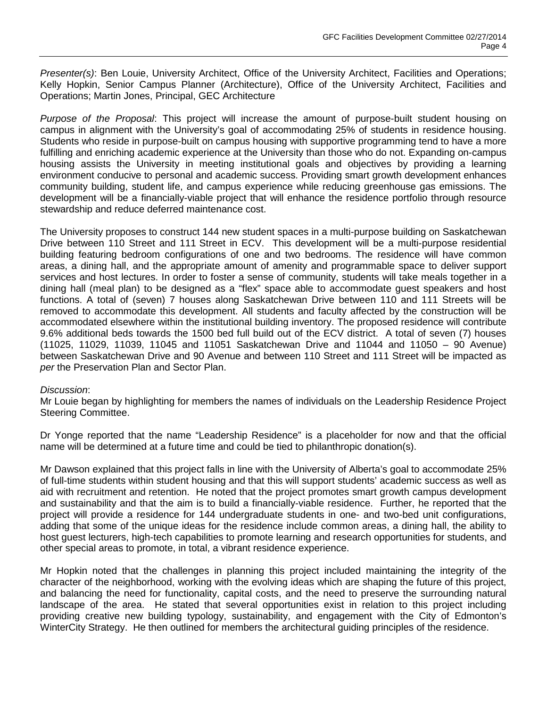*Presenter(s)*: Ben Louie, University Architect, Office of the University Architect, Facilities and Operations; Kelly Hopkin, Senior Campus Planner (Architecture), Office of the University Architect, Facilities and Operations; Martin Jones, Principal, GEC Architecture

*Purpose of the Proposal*: This project will increase the amount of purpose-built student housing on campus in alignment with the University's goal of accommodating 25% of students in residence housing. Students who reside in purpose-built on campus housing with supportive programming tend to have a more fulfilling and enriching academic experience at the University than those who do not. Expanding on-campus housing assists the University in meeting institutional goals and objectives by providing a learning environment conducive to personal and academic success. Providing smart growth development enhances community building, student life, and campus experience while reducing greenhouse gas emissions. The development will be a financially-viable project that will enhance the residence portfolio through resource stewardship and reduce deferred maintenance cost.

The University proposes to construct 144 new student spaces in a multi-purpose building on Saskatchewan Drive between 110 Street and 111 Street in ECV. This development will be a multi-purpose residential building featuring bedroom configurations of one and two bedrooms. The residence will have common areas, a dining hall, and the appropriate amount of amenity and programmable space to deliver support services and host lectures. In order to foster a sense of community, students will take meals together in a dining hall (meal plan) to be designed as a "flex" space able to accommodate guest speakers and host functions. A total of (seven) 7 houses along Saskatchewan Drive between 110 and 111 Streets will be removed to accommodate this development. All students and faculty affected by the construction will be accommodated elsewhere within the institutional building inventory. The proposed residence will contribute 9.6% additional beds towards the 1500 bed full build out of the ECV district. A total of seven (7) houses (11025, 11029, 11039, 11045 and 11051 Saskatchewan Drive and 11044 and 11050 – 90 Avenue) between Saskatchewan Drive and 90 Avenue and between 110 Street and 111 Street will be impacted as *per* the Preservation Plan and Sector Plan.

#### *Discussion*:

Mr Louie began by highlighting for members the names of individuals on the Leadership Residence Project Steering Committee.

Dr Yonge reported that the name "Leadership Residence" is a placeholder for now and that the official name will be determined at a future time and could be tied to philanthropic donation(s).

Mr Dawson explained that this project falls in line with the University of Alberta's goal to accommodate 25% of full-time students within student housing and that this will support students' academic success as well as aid with recruitment and retention. He noted that the project promotes smart growth campus development and sustainability and that the aim is to build a financially-viable residence. Further, he reported that the project will provide a residence for 144 undergraduate students in one- and two-bed unit configurations, adding that some of the unique ideas for the residence include common areas, a dining hall, the ability to host guest lecturers, high-tech capabilities to promote learning and research opportunities for students, and other special areas to promote, in total, a vibrant residence experience.

Mr Hopkin noted that the challenges in planning this project included maintaining the integrity of the character of the neighborhood, working with the evolving ideas which are shaping the future of this project, and balancing the need for functionality, capital costs, and the need to preserve the surrounding natural landscape of the area. He stated that several opportunities exist in relation to this project including providing creative new building typology, sustainability, and engagement with the City of Edmonton's WinterCity Strategy. He then outlined for members the architectural guiding principles of the residence.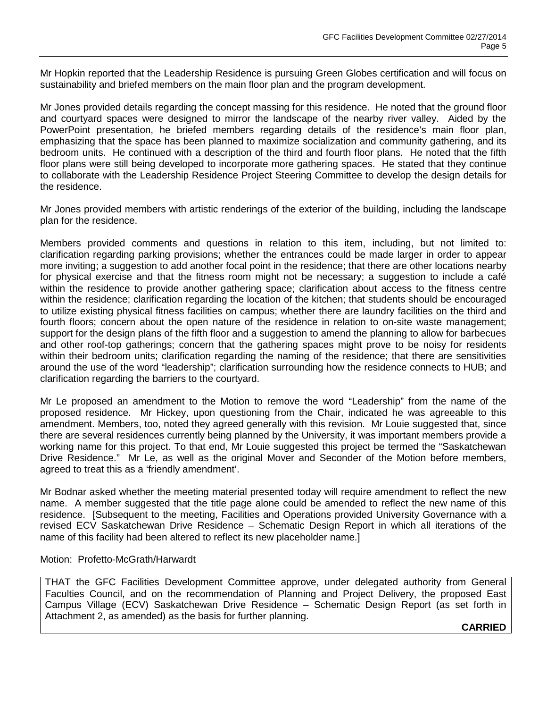Mr Hopkin reported that the Leadership Residence is pursuing Green Globes certification and will focus on sustainability and briefed members on the main floor plan and the program development.

Mr Jones provided details regarding the concept massing for this residence. He noted that the ground floor and courtyard spaces were designed to mirror the landscape of the nearby river valley. Aided by the PowerPoint presentation, he briefed members regarding details of the residence's main floor plan, emphasizing that the space has been planned to maximize socialization and community gathering, and its bedroom units. He continued with a description of the third and fourth floor plans. He noted that the fifth floor plans were still being developed to incorporate more gathering spaces. He stated that they continue to collaborate with the Leadership Residence Project Steering Committee to develop the design details for the residence.

Mr Jones provided members with artistic renderings of the exterior of the building, including the landscape plan for the residence.

Members provided comments and questions in relation to this item, including, but not limited to: clarification regarding parking provisions; whether the entrances could be made larger in order to appear more inviting; a suggestion to add another focal point in the residence; that there are other locations nearby for physical exercise and that the fitness room might not be necessary; a suggestion to include a café within the residence to provide another gathering space; clarification about access to the fitness centre within the residence; clarification regarding the location of the kitchen; that students should be encouraged to utilize existing physical fitness facilities on campus; whether there are laundry facilities on the third and fourth floors; concern about the open nature of the residence in relation to on-site waste management; support for the design plans of the fifth floor and a suggestion to amend the planning to allow for barbecues and other roof-top gatherings; concern that the gathering spaces might prove to be noisy for residents within their bedroom units; clarification regarding the naming of the residence; that there are sensitivities around the use of the word "leadership"; clarification surrounding how the residence connects to HUB; and clarification regarding the barriers to the courtyard.

Mr Le proposed an amendment to the Motion to remove the word "Leadership" from the name of the proposed residence. Mr Hickey, upon questioning from the Chair, indicated he was agreeable to this amendment. Members, too, noted they agreed generally with this revision. Mr Louie suggested that, since there are several residences currently being planned by the University, it was important members provide a working name for this project. To that end, Mr Louie suggested this project be termed the "Saskatchewan Drive Residence." Mr Le, as well as the original Mover and Seconder of the Motion before members, agreed to treat this as a 'friendly amendment'.

Mr Bodnar asked whether the meeting material presented today will require amendment to reflect the new name. A member suggested that the title page alone could be amended to reflect the new name of this residence. [Subsequent to the meeting, Facilities and Operations provided University Governance with a revised ECV Saskatchewan Drive Residence – Schematic Design Report in which all iterations of the name of this facility had been altered to reflect its new placeholder name.]

#### Motion: Profetto-McGrath/Harwardt

THAT the GFC Facilities Development Committee approve, under delegated authority from General Faculties Council, and on the recommendation of Planning and Project Delivery, the proposed East Campus Village (ECV) Saskatchewan Drive Residence – Schematic Design Report (as set forth in Attachment 2, as amended) as the basis for further planning.

**CARRIED**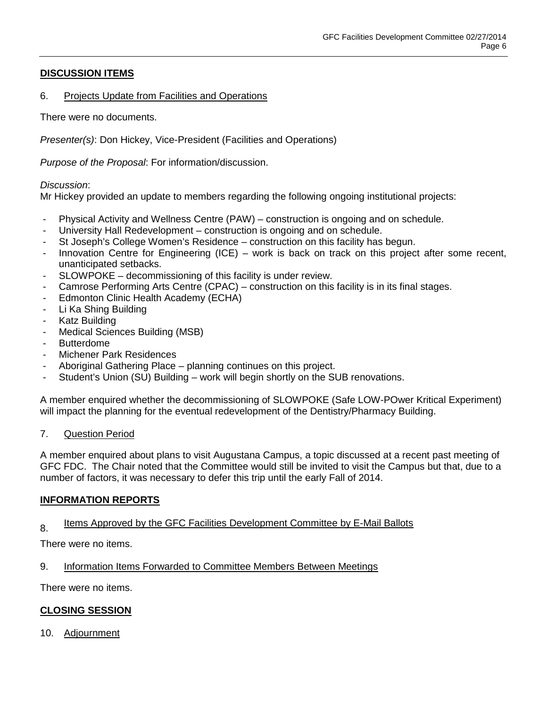# **DISCUSSION ITEMS**

## 6. Projects Update from Facilities and Operations

There were no documents.

*Presenter(s)*: Don Hickey, Vice-President (Facilities and Operations)

*Purpose of the Proposal*: For information/discussion.

## *Discussion*:

Mr Hickey provided an update to members regarding the following ongoing institutional projects:

- Physical Activity and Wellness Centre (PAW) construction is ongoing and on schedule.
- University Hall Redevelopment construction is ongoing and on schedule.
- St Joseph's College Women's Residence construction on this facility has begun.
- Innovation Centre for Engineering (ICE) work is back on track on this project after some recent, unanticipated setbacks.
- SLOWPOKE decommissioning of this facility is under review.
- Camrose Performing Arts Centre (CPAC) construction on this facility is in its final stages.
- Edmonton Clinic Health Academy (ECHA)
- Li Ka Shing Building
- Katz Building
- Medical Sciences Building (MSB)
- Butterdome
- Michener Park Residences
- Aboriginal Gathering Place planning continues on this project.
- Student's Union (SU) Building work will begin shortly on the SUB renovations.

A member enquired whether the decommissioning of SLOWPOKE (Safe LOW-POwer Kritical Experiment) will impact the planning for the eventual redevelopment of the Dentistry/Pharmacy Building.

## 7. Question Period

A member enquired about plans to visit Augustana Campus, a topic discussed at a recent past meeting of GFC FDC. The Chair noted that the Committee would still be invited to visit the Campus but that, due to a number of factors, it was necessary to defer this trip until the early Fall of 2014.

## **INFORMATION REPORTS**

# 8. Items Approved by the GFC Facilities Development Committee by E-Mail Ballots

There were no items.

9. Information Items Forwarded to Committee Members Between Meetings

There were no items.

## **CLOSING SESSION**

10. Adjournment